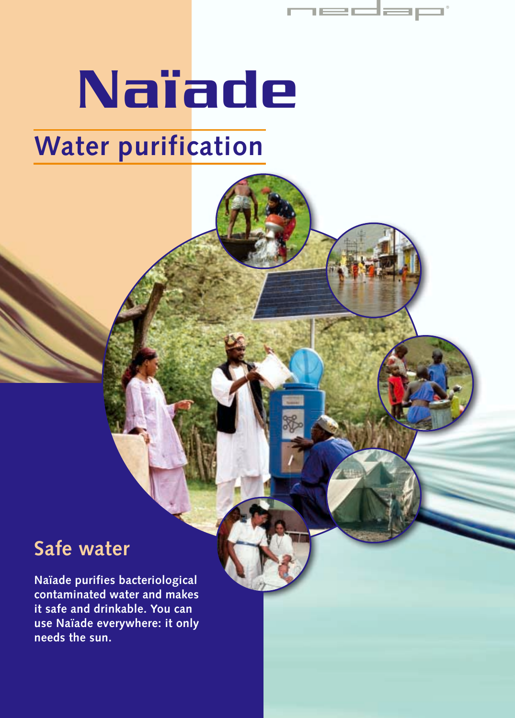## Naïade **Water purification**

iedap

#### **Safe water**

**Naïade purifies bacteriological contaminated water and makes it safe and drinkable. You can use Naïade everywhere: it only needs the sun.**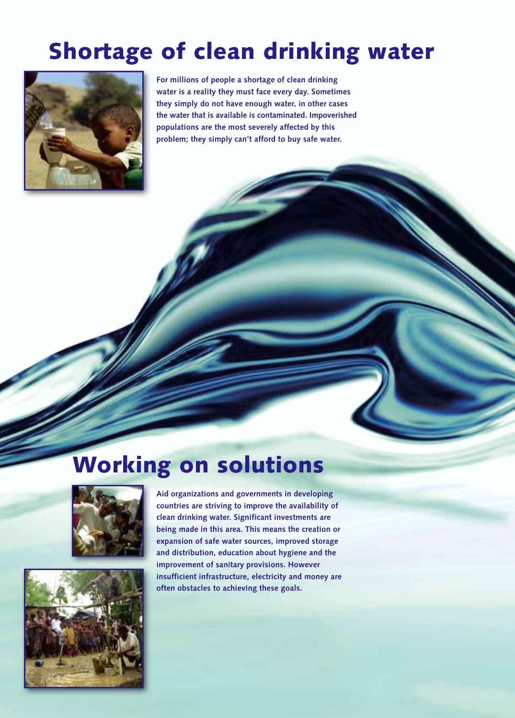### **Shortage of clean drinking water**



**For millions of people a shortage of clean drinking water is a reality they must face every day. Sometimes they simply do not have enough water, in other cases the water that is available is contaminated. Impoverished populations are the most severely affected by this problem; they simply can't afford to buy safe water.** 

#### **Working on solutions**





**Aid organizations and governments in developing countries are striving to improve the availability of clean drinking water. Significant investments are being made in this area. This means the creation or expansion of safe water sources, improved storage and distribution, education about hygiene and the improvement of sanitary provisions. However insufficient infrastructure, electricity and money are often obstacles to achieving these goals.**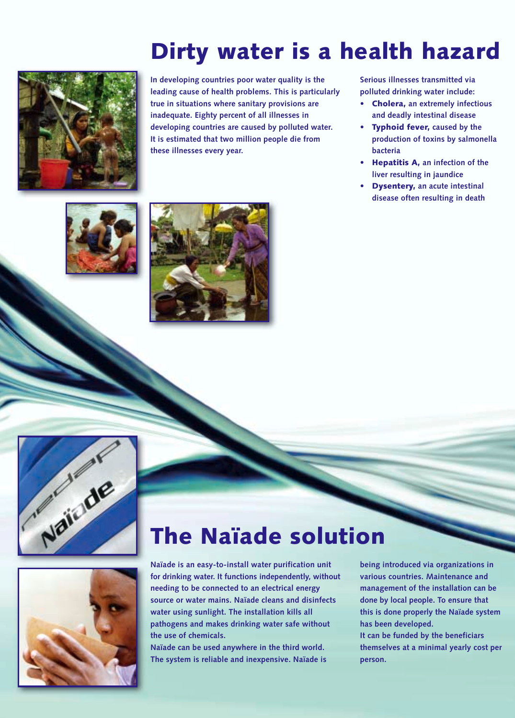### **Dirty water is a health hazard**



**In developing countries poor water quality is the leading cause of health problems. This is particularly true in situations where sanitary provisions are inadequate. Eighty percent of all illnesses in developing countries are caused by polluted water. It is estimated that two million people die from these illnesses every year.**

**Serious illnesses transmitted via polluted drinking water include:**

- **• Cholera, an extremely infectious and deadly intestinal disease**
- **• Typhoid fever, caused by the production of toxins by salmonella bacteria**
- **• Hepatitis A, an infection of the liver resulting in jaundice**
- **• Dysentery, an acute intestinal disease often resulting in death**









#### **The Naïade solution**

**Naïade is an easy-to-install water purification unit for drinking water. It functions independently, without needing to be connected to an electrical energy source or water mains. Naïade cleans and disinfects water using sunlight. The installation kills all pathogens and makes drinking water safe without the use of chemicals.** 

**Naïade can be used anywhere in the third world. The system is reliable and inexpensive. Naïade is**

**being introduced via organizations in various countries. Maintenance and management of the installation can be done by local people. To ensure that this is done properly the Naïade system has been developed. It can be funded by the beneficiars themselves at a minimal yearly cost per person.**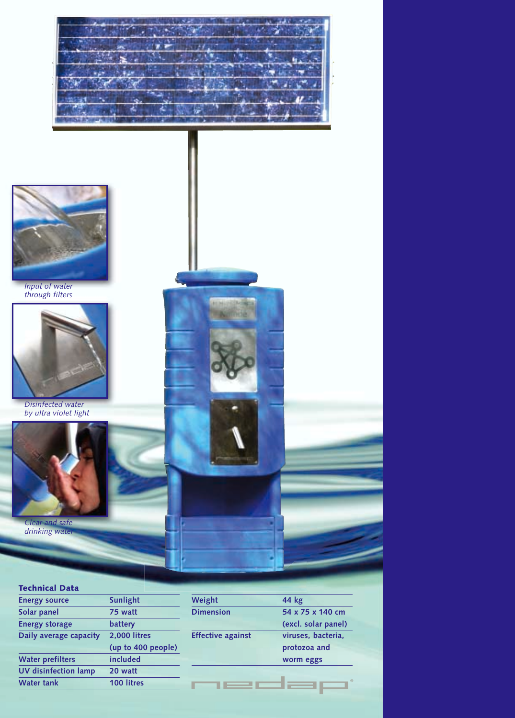



*Input of water through filters*



*Disinfected water by ultra violet light* 



*Clear and safe drinking water*

| <b>Technical Data</b>       |                    |
|-----------------------------|--------------------|
| <b>Energy source</b>        | <b>Sunlight</b>    |
| Solar panel                 | 75 watt            |
| <b>Energy storage</b>       | battery            |
| Daily average capacity      | 2.000 litres       |
|                             | (up to 400 people) |
| <b>Water prefilters</b>     | included           |
| <b>UV</b> disinfection lamp | 20 watt            |
| <b>Water tank</b>           | 100 litres         |
|                             |                    |



г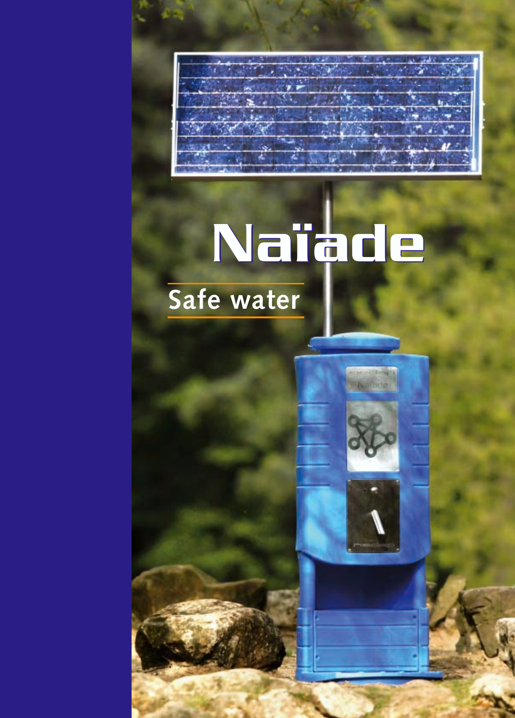# Naïade Naïade

**Safe water**